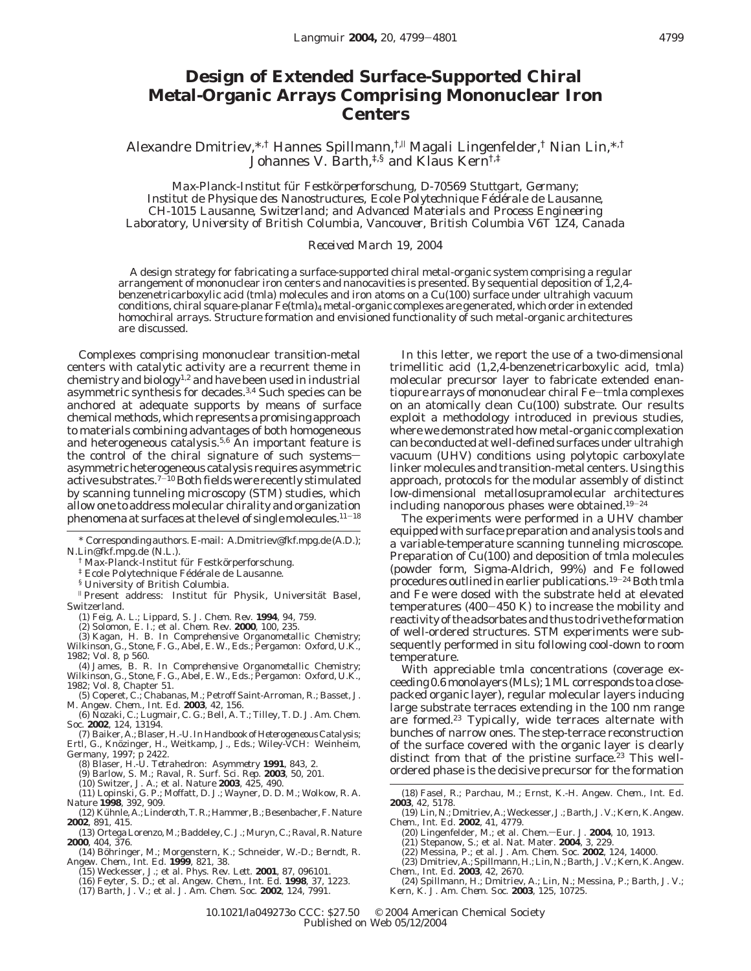## **Design of Extended Surface-Supported Chiral Metal-Organic Arrays Comprising Mononuclear Iron Centers**

Alexandre Dmitriev,\*,† Hannes Spillmann,†,<sup>|</sup> Magali Lingenfelder,† Nian Lin,\*,† Johannes V. Barth,<sup>‡,§</sup> and Klaus Kern<sup>†,‡</sup>

*Max-Planck-Institut fu*¨ *r Festko*¨*rperforschung, D-70569 Stuttgart, Germany; Institut de Physique des Nanostructures, Ecole Polytechnique Fe*´*de*´*rale de Lausanne, CH-1015 Lausanne, Switzerland; and Advanced Materials and Process Engineering Laboratory, University of British Columbia, Vancouver, British Columbia V6T 1Z4, Canada*

## *Received March 19, 2004*

A design strategy for fabricating a surface-supported chiral metal-organic system comprising a regular arrangement of mononuclear iron centers and nanocavities is presented. By sequential deposition of 1,2,4 benzenetricarboxylic acid (tmla) molecules and iron atoms on a Cu(100) surface under ultrahigh vacuum conditions, chiral square-planar Fe(tmla)4 metal-organic complexes are generated, which order in extended homochiral arrays. Structure formation and envisioned functionality of such metal-organic architectures are discussed.

Complexes comprising mononuclear transition-metal centers with catalytic activity are a recurrent theme in chemistry and biology<sup>1,2</sup> and have been used in industrial asymmetric synthesis for decades.3,4 Such species can be anchored at adequate supports by means of surface chemical methods, which represents a promising approach to materials combining advantages of both homogeneous and heterogeneous catalysis.<sup>5,6</sup> An important feature is the control of the chiral signature of such systemsasymmetric heterogeneous catalysis requires asymmetric active substrates.<sup>7-10</sup> Both fields were recently stimulated by scanning tunneling microscopy (STM) studies, which allow one to address molecular chirality and organization phenomena at surfaces at the level of single molecules.11-<sup>18</sup>

- Max-Planck-Institut für Festkörperforschung.
- <sup>‡</sup> Ecole Polytechnique Fédérale de Lausanne.
- § University of British Columbia.

<sup>#</sup> Present address: Institut für Physik, Universität Basel, Switzerland.

(1) Feig, A. L.; Lippard, S. J. *Chem. Rev.* **1994**, *94*, 759.

- (2) Solomon, E. I.; et al. *Chem. Rev.* **2000**, *100*, 235.
- (3) Kagan, H. B. In *Comprehensive Organometallic Chemistry*; Wilkinson, G., Stone, F. G., Abel, E. W., Eds.; Pergamon: Oxford, U.K., 1982; Vol. 8, p 560.
- (4) James, B. R. In *Comprehensive Organometallic Chemistry*; Wilkinson, G., Stone, F. G., Abel, E. W., Eds.; Pergamon: Oxford, U.K.,
- 1982; Vol. 8, Chapter 51. (5) Coperet, C.; Chabanas, M.; Petroff Saint-Arroman, R.; Basset, J.
- M. *Angew. Chem., Int. Ed*. **2003**, *42*, 156. (6) Nozaki, C.; Lugmair, C. G.; Bell, A. T.; Tilley, T. D. *J. Am. Chem.*
- *Soc.* **2002**, *124*, 13194. (7) Baiker, A.; Blaser, H.-U. In *Handbook of Heterogeneous Catalysis*;
- Ertl, G., Knözinger, H., Weitkamp, J., Eds.; Wiley-VCH: Weinheim, Germany, 1997; p 2422. (8) Blaser, H.-U. *Tetrahedron: Asymmetry* **1991**, *843*, 2.
	-

- 
- (9) Barlow, S. M.; Raval, R. *Surf. Sci. Rep*. **2003**, *50*, 201. (10) Switzer, J. A.; et al. *Nature* **2003**, *425*, 490. (11) Lopinski, G. P.; Moffatt, D. J.; Wayner, D. D. M.; Wolkow, R. A. *Nature* **1998**, *392*, 909.
- (12) Ku¨hnle, A.; Linderoth, T. R.; Hammer, B.; Besenbacher, F. *Nature* **2002**, *891*, 415.
- (13) Ortega Lorenzo, M.; Baddeley, C. J.; Muryn, C.; Raval, R. *Nature*
- **2000**, 404, 376.<br>
(14) Böhringer, M.; Morgenstern, K.; Schneider, W.-D.; Berndt, R.<br>*Angew. Chem., Int. Ed.* **1999**, *821*, 38.
- (15) Weckesser, J.; et al. *Phys. Rev. Lett.* **2001**, *87*, 096101.
	- (16) Feyter, S. D.; et al. *Angew. Chem., Int. Ed.* **1998**, *37*, 1223.
	- (17) Barth, J. V.; et al. *J. Am. Chem. Soc.* **2002**, *124*, 7991.

In this letter, we report the use of a two-dimensional trimellitic acid (1,2,4-benzenetricarboxylic acid, tmla) molecular precursor layer to fabricate extended enantiopure arrays of mononuclear chiral Fe-tmla complexes on an atomically clean Cu(100) substrate. Our results exploit a methodology introduced in previous studies, where we demonstrated how metal-organic complexation can be conducted at well-defined surfaces under ultrahigh vacuum (UHV) conditions using polytopic carboxylate linker molecules and transition-metal centers. Using this approach, protocols for the modular assembly of distinct low-dimensional metallosupramolecular architectures including nanoporous phases were obtained.19-<sup>24</sup>

The experiments were performed in a UHV chamber equipped with surface preparation and analysis tools and a variable-temperature scanning tunneling microscope. Preparation of Cu(100) and deposition of tmla molecules (powder form, Sigma-Aldrich, 99%) and Fe followed procedures outlined in earlier publications.<sup>19-24</sup> Both tmla and Fe were dosed with the substrate held at elevated temperatures (400-450 K) to increase the mobility and reactivity of the adsorbates and thus to drive the formation of well-ordered structures. STM experiments were subsequently performed in situ following cool-down to room temperature.

With appreciable tmla concentrations (coverage exceeding 0.6 monolayers (MLs); 1 ML corresponds to a closepacked organic layer), regular molecular layers inducing large substrate terraces extending in the 100 nm range are formed.<sup>23</sup> Typically, wide terraces alternate with bunches of narrow ones. The step-terrace reconstruction of the surface covered with the organic layer is clearly distinct from that of the pristine surface.<sup>23</sup> This wellordered phase is the decisive precursor for the formation

- (18) Fasel, R.; Parchau, M.; Ernst, K.-H. *Angew. Chem., Int. Ed.* **2003**, *42*, 5178.
- (19) Lin, N.; Dmitriev, A.; Weckesser, J.; Barth, J. V.; Kern, K. *Angew. Chem., Int. Ed.* **2002**, *41*, 4779.<br>(20) Lingenfelder, M.; et al. *Chem.*—*Eur. J.* **2004**, *10*, 1913.
	-
	- (21) Stepanow, S.; et al. *Nat. Mater.* **2004**, *3*, 229. (22) Messina, P.; et al. *J. Am. Chem. Soc.* **2002**, *124*, 14000.
	-
- (23) Dmitriev, A.; Spillmann, H.; Lin, N.; Barth, J. V.; Kern, K. *Angew. Chem., Int. Ed.* **2003**, *42*, 2670.
- (24) Spillmann, H.; Dmitriev, A.; Lin, N.; Messina, P.; Barth, J. V.; Kern, K. *J. Am. Chem. Soc*. **2003**, *125*, 10725.
- 10.1021/la049273o CCC: \$27.50 © 2004 American Chemical Society

Published on Web 05/12/2004

<sup>\*</sup> Corresponding authors. E-mail: A.Dmitriev@fkf.mpg.de (A.D.); N.Lin@fkf.mpg.de (N.L.).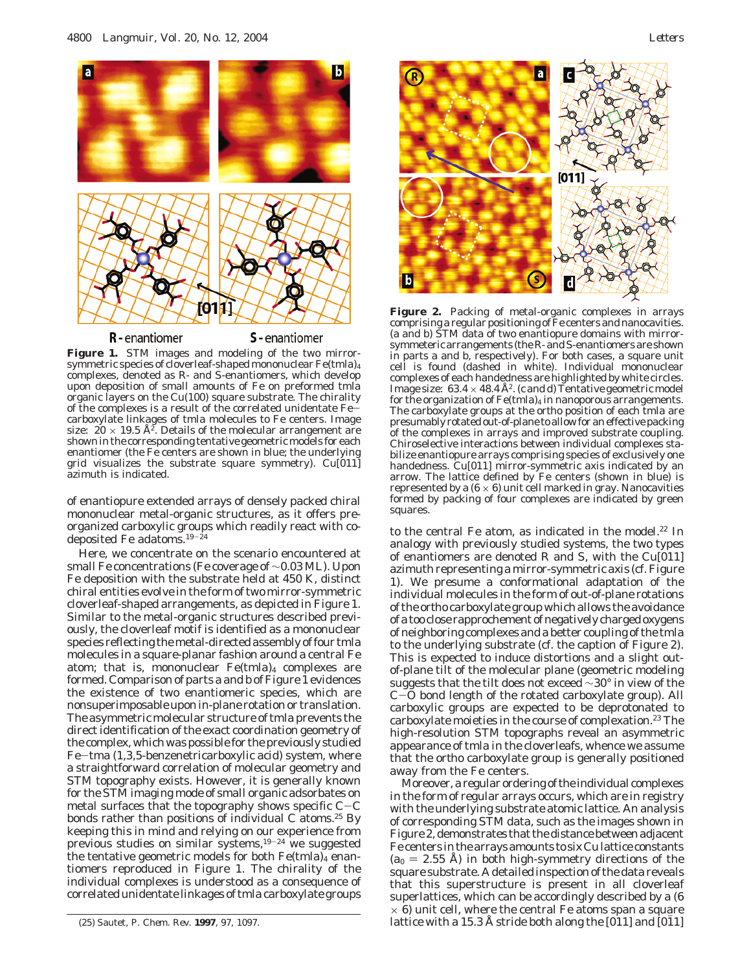

Figure 1. STM images and modeling of the two mirrorsymmetric species of cloverleaf-shaped mononuclear Fe(tmla)4 complexes, denoted as R- and S-enantiomers, which develop upon deposition of small amounts of Fe on preformed tmla organic layers on the Cu(100) square substrate. The chirality of the complexes is a result of the correlated unidentate Fecarboxylate linkages of tmla molecules to Fe centers. Image size:  $20 \times 19.5$  Å<sup>2</sup>. Details of the molecular arrangement are shown in the corresponding tentative geometric models for each enantiomer (the Fe centers are shown in blue; the underlying grid visualizes the substrate square symmetry). Cu[011] azimuth is indicated.

of enantiopure extended arrays of densely packed chiral mononuclear metal-organic structures, as it offers preorganized carboxylic groups which readily react with codeposited Fe adatoms.19-<sup>24</sup>

Here, we concentrate on the scenario encountered at small Fe concentrations (Fe coverage of ∼0.03 ML). Upon Fe deposition with the substrate held at 450 K, distinct chiral entities evolve in the form of two mirror-symmetric cloverleaf-shaped arrangements, as depicted in Figure 1. Similar to the metal-organic structures described previously, the cloverleaf motif is identified as a mononuclear species reflecting the metal-directed assembly of four tmla molecules in a square-planar fashion around a central Fe atom; that is, mononuclear  $Fe$ (tmla)<sub>4</sub> complexes are formed. Comparison of parts a and b of Figure 1 evidences the existence of two enantiomeric species, which are nonsuperimposable upon in-plane rotation or translation. The asymmetric molecular structure of tmla prevents the direct identification of the exact coordination geometry of the complex, which was possible for the previously studied Fe-tma (1,3,5-benzenetricarboxylic acid) system, where a straightforward correlation of molecular geometry and STM topography exists. However, it is generally known for the STM imaging mode of small organic adsorbates on metal surfaces that the topography shows specific  $C-C$ bonds rather than positions of individual C atoms.<sup>25</sup> By keeping this in mind and relying on our experience from previous studies on similar systems, $19-24$  we suggested the tentative geometric models for both  $Fe$ (tmla)<sub>4</sub> enantiomers reproduced in Figure 1. The chirality of the individual complexes is understood as a consequence of correlated unidentate linkages of tmla carboxylate groups



**Figure 2.** Packing of metal-organic complexes in arrays comprising a regular positioning of Fe centers and nanocavities. (a and b) STM data of two enantiopure domains with mirrorsymmeteric arrangements (the R- and S-enantiomers are shown in parts a and b, respectively). For both cases, a square unit cell is found (dashed in white). Individual mononuclear complexes of each handedness are highlighted by white circles. Image size:  $63.4 \times 48.4$  Å<sup>2</sup>. (c and d) Tentative geometric model for the organization of  $Fe$ (tmla)<sub>4</sub> in nanoporous arrangements. The carboxylate groups at the *ortho* position of each tmla are presumably rotated out-of-plane to allow for an effective packing of the complexes in arrays and improved substrate coupling. Chiroselective interactions between individual complexes stabilize enantiopure arrays comprising species of exclusively one handedness. Cu[011] mirror-symmetric axis indicated by an arrow. The lattice defined by Fe centers (shown in blue) is represented by a  $(6 \times 6)$  unit cell marked in gray. Nanocavities formed by packing of four complexes are indicated by green squares.

to the central Fe atom, as indicated in the model.<sup>22</sup> In analogy with previously studied systems, the two types of enantiomers are denoted R and S, with the Cu[011] azimuth representing a mirror-symmetric axis (cf. Figure 1). We presume a conformational adaptation of the individual molecules in the form of out-of-plane rotations of the *ortho* carboxylate group which allows the avoidance of a too close rapprochement of negatively charged oxygens of neighboring complexes and a better coupling of the tmla to the underlying substrate (cf. the caption of Figure 2). This is expected to induce distortions and a slight outof-plane tilt of the molecular plane (geometric modeling suggests that the tilt does not exceed ∼30° in view of the <sup>C</sup>-O bond length of the rotated carboxylate group). All carboxylic groups are expected to be deprotonated to carboxylate moieties in the course of complexation.<sup>23</sup> The high-resolution STM topographs reveal an asymmetric appearance of tmla in the cloverleafs, whence we assume that the *ortho* carboxylate group is generally positioned away from the Fe centers.

Moreover, a regular ordering of the individual complexes in the form of regular arrays occurs, which are in registry with the underlying substrate atomic lattice. An analysis of corresponding STM data, such as the images shown in Figure 2, demonstrates that the distance between adjacent Fe centers in the arrays amounts to six Cu lattice constants  $(a_0 = 2.55 \text{ Å})$  in both high-symmetry directions of the square substrate. A detailed inspection of the data reveals that this superstructure is present in all cloverleaf superlattices, which can be accordingly described by a (6  $\times$  6) unit cell, where the central Fe atoms span a square (25) Sautet, P. *Chem. Rev.* **<sup>1997</sup>**, *<sup>97</sup>*, 1097. lattice with a 15.3 Å stride both along the [011] and [01h1]